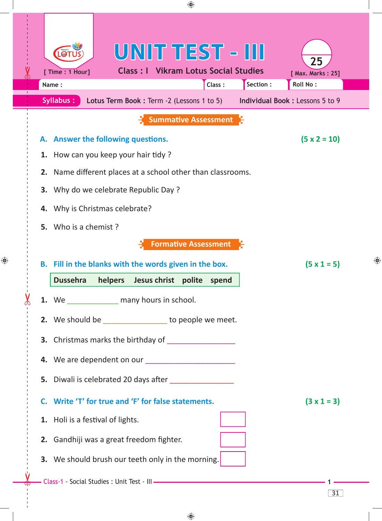|                | ♠                                                                                                                                                                                                                                                                     |   |  |  |  |  |
|----------------|-----------------------------------------------------------------------------------------------------------------------------------------------------------------------------------------------------------------------------------------------------------------------|---|--|--|--|--|
|                | UNIT TEST - III<br>25<br><b>Class: I Vikram Lotus Social Studies</b><br>[ Time : 1 Hour]<br>[ Max. Marks: 25]<br>Section :<br>Roll No:<br>Class:<br>Name:<br><b>Syllabus:</b><br><b>Individual Book: Lessons 5 to 9</b><br>Lotus Term Book : Term -2 (Lessons 1 to 5) |   |  |  |  |  |
|                | <b>Summative Assessment</b>                                                                                                                                                                                                                                           |   |  |  |  |  |
| А.<br>1.<br>2. | $(5 \times 2 = 10)$<br><b>Answer the following questions.</b><br>How can you keep your hair tidy?<br>Name different places at a school other than classrooms.                                                                                                         |   |  |  |  |  |
| 3.             | Why do we celebrate Republic Day?                                                                                                                                                                                                                                     |   |  |  |  |  |
| 4.             | Why is Christmas celebrate?                                                                                                                                                                                                                                           |   |  |  |  |  |
| 5.             | Who is a chemist?                                                                                                                                                                                                                                                     |   |  |  |  |  |
|                | <b>Formative Assessment</b><br>B. Fill in the blanks with the words given in the box.<br>$(5 \times 1 = 5)$<br>Dussehra helpers Jesus christ polite spend                                                                                                             | ⊕ |  |  |  |  |
|                | 1. We _______________ many hours in school.                                                                                                                                                                                                                           |   |  |  |  |  |
|                | 2. We should be ________________ to people we meet.                                                                                                                                                                                                                   |   |  |  |  |  |
|                | 3. Christmas marks the birthday of                                                                                                                                                                                                                                    |   |  |  |  |  |
|                | 4. We are dependent on our ________________________                                                                                                                                                                                                                   |   |  |  |  |  |
|                | 5. Diwali is celebrated 20 days after ________________                                                                                                                                                                                                                |   |  |  |  |  |
|                |                                                                                                                                                                                                                                                                       |   |  |  |  |  |
|                | C. Write 'T' for true and 'F' for false statements.<br>$(3 \times 1 = 3)$                                                                                                                                                                                             |   |  |  |  |  |
|                | 1. Holi is a festival of lights.                                                                                                                                                                                                                                      |   |  |  |  |  |
|                | 2. Gandhiji was a great freedom fighter.                                                                                                                                                                                                                              |   |  |  |  |  |
|                | <b>3.</b> We should brush our teeth only in the morning.                                                                                                                                                                                                              |   |  |  |  |  |
|                | 31                                                                                                                                                                                                                                                                    |   |  |  |  |  |
|                |                                                                                                                                                                                                                                                                       |   |  |  |  |  |

 $\bigoplus$ 

 $\bigoplus$